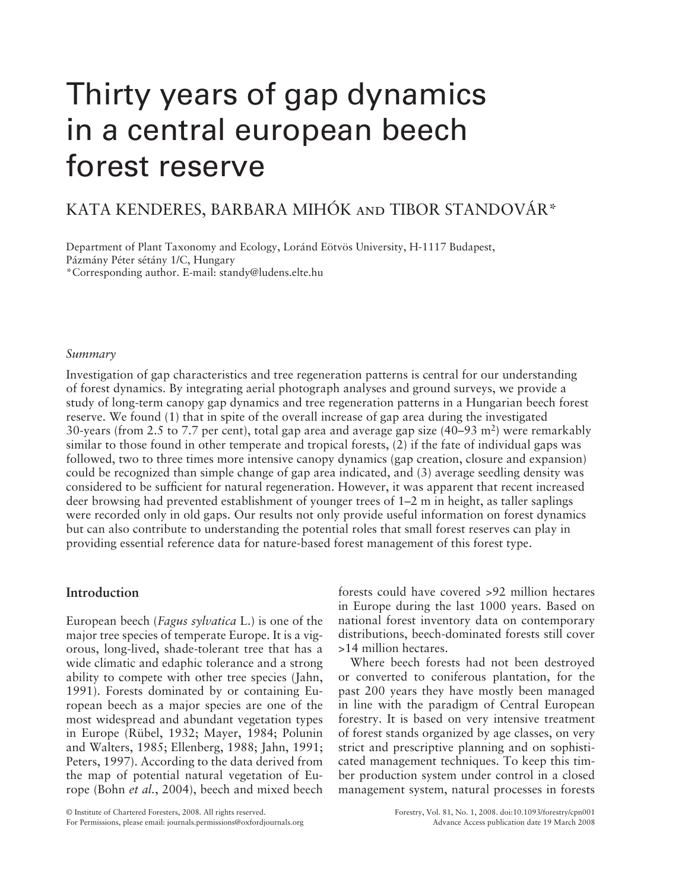# Thirty years of gap dynamics in a central european beech forest reserve

# KATA KENDERES, BARBARA MIHÓK AND TIBOR STANDOVÁR\*

Department of Plant Taxonomy and Ecology, Loránd Eötvös University, H-1117 Budapest, Pázmány Péter sétány 1/C, Hungary \* Corresponding author. E-mail: standy@ludens.elte.hu

#### *Summary*

Investigation of gap characteristics and tree regeneration patterns is central for our understanding of forest dynamics. By integrating aerial photograph analyses and ground surveys, we provide a study of long-term canopy gap dynamics and tree regeneration patterns in a Hungarian beech forest reserve. We found (1) that in spite of the overall increase of gap area during the investigated 30-years (from 2.5 to 7.7 per cent), total gap area and average gap size  $(40-93 \text{ m}^2)$  were remarkably similar to those found in other temperate and tropical forests,  $(2)$  if the fate of individual gaps was followed, two to three times more intensive canopy dynamics (gap creation, closure and expansion) could be recognized than simple change of gap area indicated, and (3) average seedling density was considered to be sufficient for natural regeneration. However, it was apparent that recent increased deer browsing had prevented establishment of younger trees of  $1-2$  m in height, as taller saplings were recorded only in old gaps. Our results not only provide useful information on forest dynamics but can also contribute to understanding the potential roles that small forest reserves can play in providing essential reference data for nature-based forest management of this forest type.

# **Introduction**

European beech (*Fagus sylvatica* L.) is one of the major tree species of temperate Europe. It is a vigorous, long-lived, shade-tolerant tree that has a wide climatic and edaphic tolerance and a strong ability to compete with other tree species (Jahn, 1991). Forests dominated by or containing European beech as a major species are one of the most widespread and abundant vegetation types in Europe (Rübel, 1932; Mayer, 1984; Polunin and Walters, 1985; Ellenberg, 1988; Jahn, 1991; Peters, 1997). According to the data derived from the map of potential natural vegetation of Europe (Bohn *et al.*, 2004), beech and mixed beech forests could have covered >92 million hectares in Europe during the last 1000 years. Based on national forest inventory data on contemporary distributions, beech-dominated forests still cover >14 million hectares.

Where beech forests had not been destroyed or converted to coniferous plantation, for the past 200 years they have mostly been managed in line with the paradigm of Central European forestry. It is based on very intensive treatment of forest stands organized by age classes, on very strict and prescriptive planning and on sophisticated management techniques. To keep this timber production system under control in a closed management system, natural processes in forests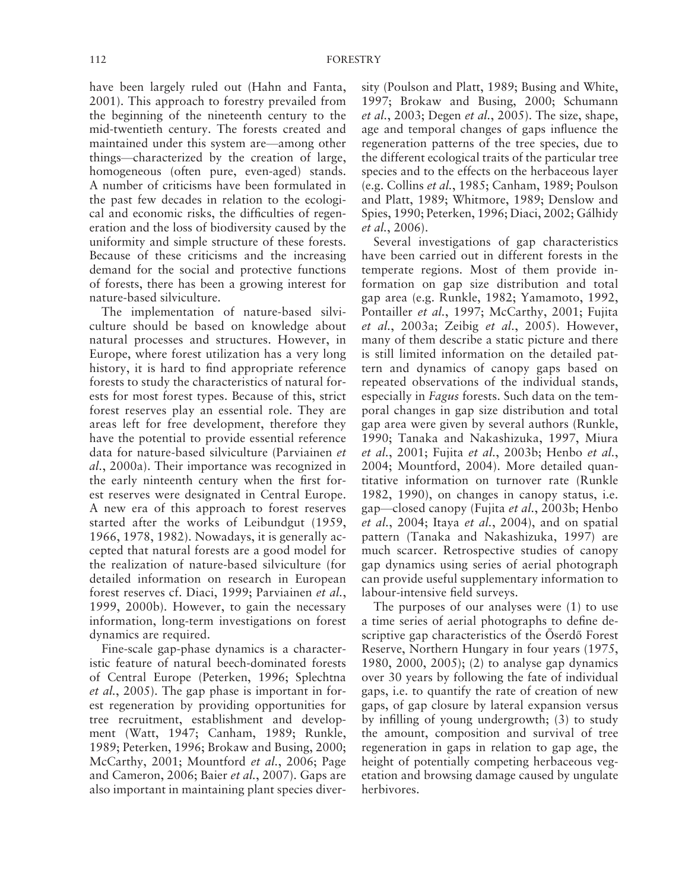have been largely ruled out (Hahn and Fanta, 2001). This approach to forestry prevailed from the beginning of the nineteenth century to the mid-twentieth century. The forests created and maintained under this system are—among other things —characterized by the creation of large, homogeneous (often pure, even-aged) stands. A number of criticisms have been formulated in the past few decades in relation to the ecological and economic risks, the difficulties of regeneration and the loss of biodiversity caused by the uniformity and simple structure of these forests. Because of these criticisms and the increasing demand for the social and protective functions of forests, there has been a growing interest for nature-based silviculture.

The implementation of nature-based silviculture should be based on knowledge about natural processes and structures. However, in Europe, where forest utilization has a very long history, it is hard to find appropriate reference forests to study the characteristics of natural forests for most forest types. Because of this, strict forest reserves play an essential role. They are areas left for free development, therefore they have the potential to provide essential reference data for nature-based silviculture ( Parviainen *et al.*, 2000a). Their importance was recognized in the early ninteenth century when the first forest reserves were designated in Central Europe. A new era of this approach to forest reserves started after the works of Leibundgut (1959, 1966 , 1978 , 1982 ). Nowadays, it is generally accepted that natural forests are a good model for the realization of nature-based silviculture (for detailed information on research in European forest reserves cf. Diaci, 1999; Parviainen et al., 1999, 2000b). However, to gain the necessary information, long-term investigations on forest dynamics are required.

Fine-scale gap-phase dynamics is a characteristic feature of natural beech-dominated forests of Central Europe (Peterken, 1996; Splechtna *et al.*, 2005). The gap phase is important in forest regeneration by providing opportunities for tree recruitment, establishment and development (Watt, 1947; Canham, 1989; Runkle, 1989; Peterken, 1996; Brokaw and Busing, 2000; McCarthy, 2001; Mountford *et al.*, 2006; Page and Cameron, 2006; Baier et al., 2007). Gaps are also important in maintaining plant species diversity (Poulson and Platt, 1989; Busing and White, 1997; Brokaw and Busing, 2000; Schumann *et al.*, 2003; Degen *et al.*, 2005). The size, shape, age and temporal changes of gaps influence the regeneration patterns of the tree species, due to the different ecological traits of the particular tree species and to the effects on the herbaceous layer (e.g. Collins *et al.*, 1985; Canham, 1989; Poulson and Platt, 1989; Whitmore, 1989; Denslow and Spies, 1990; Peterken, 1996; Diaci, 2002; Gálhidy *et al.*, 2006).

Several investigations of gap characteristics have been carried out in different forests in the temperate regions. Most of them provide information on gap size distribution and total gap area (e.g. Runkle, 1982; Yamamoto, 1992, Pontailler et al., 1997; McCarthy, 2001; Fujita *et al.*, 2003a; Zeibig *et al.*, 2005). However, many of them describe a static picture and there is still limited information on the detailed pattern and dynamics of canopy gaps based on repeated observations of the individual stands, especially in *Fagus* forests. Such data on the temporal changes in gap size distribution and total gap area were given by several authors ( Runkle, 1990; Tanaka and Nakashizuka, 1997, Miura *et al.*, 2001; Fujita *et al.*, 2003b; Henbo *et al.*, 2004; Mountford, 2004). More detailed quantitative information on turnover rate (Runkle  $1982$ ,  $1990$ ), on changes in canopy status, i.e. gap—closed canopy (Fujita *et al.*, 2003b; Henbo *et al.*, 2004; Itaya *et al.*, 2004), and on spatial pattern (Tanaka and Nakashizuka, 1997) are much scarcer. Retrospective studies of canopy gap dynamics using series of aerial photograph can provide useful supplementary information to labour-intensive field surveys.

The purposes of our analyses were (1) to use a time series of aerial photographs to define descriptive gap characteristics of the Öserdő Forest Reserve, Northern Hungary in four years (1975, 1980, 2000, 2005); (2) to analyse gap dynamics over 30 years by following the fate of individual gaps, i.e. to quantify the rate of creation of new gaps, of gap closure by lateral expansion versus by infilling of young undergrowth;  $(3)$  to study the amount, composition and survival of tree regeneration in gaps in relation to gap age, the height of potentially competing herbaceous vegetation and browsing damage caused by ungulate herbivores.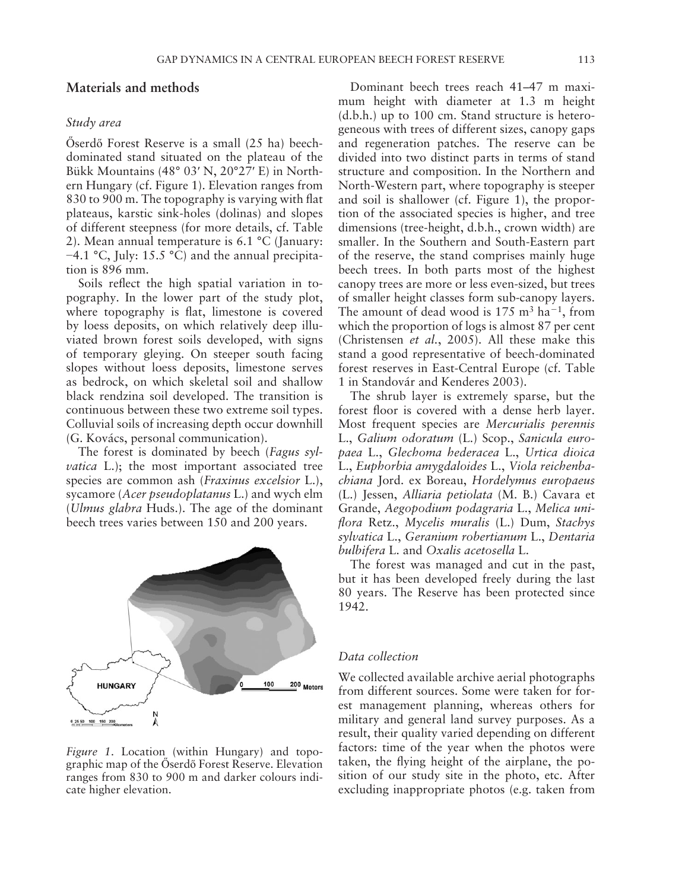# **Materials and methods**

# *Study area*

Őserdő Forest Reserve is a small  $(25 \text{ ha})$  beechdominated stand situated on the plateau of the Bükk Mountains (48° 03' N,  $20°27'$  E) in Northern Hungary (cf. Figure 1). Elevation ranges from 830 to 900 m. The topography is varying with flat plateaus, karstic sink-holes (dolinas) and slopes of different steepness (for more details, cf. Table 2). Mean annual temperature is  $6.1 \text{ °C}$  (January: −4.1 °C, July: 15.5 °C) and the annual precipitation is 896 mm.

Soils reflect the high spatial variation in topography. In the lower part of the study plot, where topography is flat, limestone is covered by loess deposits, on which relatively deep illuviated brown forest soils developed, with signs of temporary gleying. On steeper south facing slopes without loess deposits, limestone serves as bedrock, on which skeletal soil and shallow black rendzina soil developed. The transition is continuous between these two extreme soil types. Colluvial soils of increasing depth occur downhill (G. Kovács, personal communication).

The forest is dominated by beech (*Fagus sylvatica* L.); the most important associated tree species are common ash (*Fraxinus excelsior* L.), sycamore ( *Acer pseudoplatanus* L.) and wych elm ( *Ulmus glabra* Huds.). The age of the dominant beech trees varies between 150 and 200 years.



#### *Figure 1*. Location (within Hungary) and topographic map of the Öserdő Forest Reserve. Elevation ranges from 830 to 900 m and darker colours indicate higher elevation.

Dominant beech trees reach 41–47 m maximum height with diameter at 1.3 m height (d.b.h.) up to 100 cm. Stand structure is heterogeneous with trees of different sizes, canopy gaps and regeneration patches. The reserve can be divided into two distinct parts in terms of stand structure and composition. In the Northern and North-Western part, where topography is steeper and soil is shallower (cf. Figure 1), the proportion of the associated species is higher, and tree dimensions (tree-height, d.b.h., crown width) are smaller. In the Southern and South-Eastern part of the reserve, the stand comprises mainly huge beech trees. In both parts most of the highest canopy trees are more or less even-sized, but trees of smaller height classes form sub-canopy layers. The amount of dead wood is  $175 \text{ m}^3$  ha<sup>-1</sup>, from which the proportion of logs is almost 87 per cent (Christensen *et al.*, 2005). All these make this stand a good representative of beech-dominated forest reserves in East-Central Europe (cf. Table 1 in Standovár and Kenderes 2003 ).

The shrub layer is extremely sparse, but the forest floor is covered with a dense herb layer. Most frequent species are *Mercurialis perennis* L., *Galium odoratum* (L.) Scop., *Sanicula europaea* L., *Glechoma hederacea* L., *Urtica dioica* L., *Euphorbia amygdaloides* L., *Viola reichenbachiana* Jord. ex Boreau, *Hordelymus europaeus* (L.) Jessen, *Alliaria petiolata* (M. B.) Cavara et Grande, *Aegopodium podagraria* L., *Melica unifl ora* Retz., *Mycelis muralis* (L.) Dum, *Stachys sylvatica* L., *Geranium robertianum* L., *Dentaria bulbifera* L. and *Oxalis acetosella* L.

The forest was managed and cut in the past, but it has been developed freely during the last 80 years. The Reserve has been protected since 1942.

# *Data collection*

We collected available archive aerial photographs from different sources. Some were taken for forest management planning, whereas others for military and general land survey purposes. As a result, their quality varied depending on different factors: time of the year when the photos were taken, the flying height of the airplane, the position of our study site in the photo, etc. After excluding inappropriate photos (e.g. taken from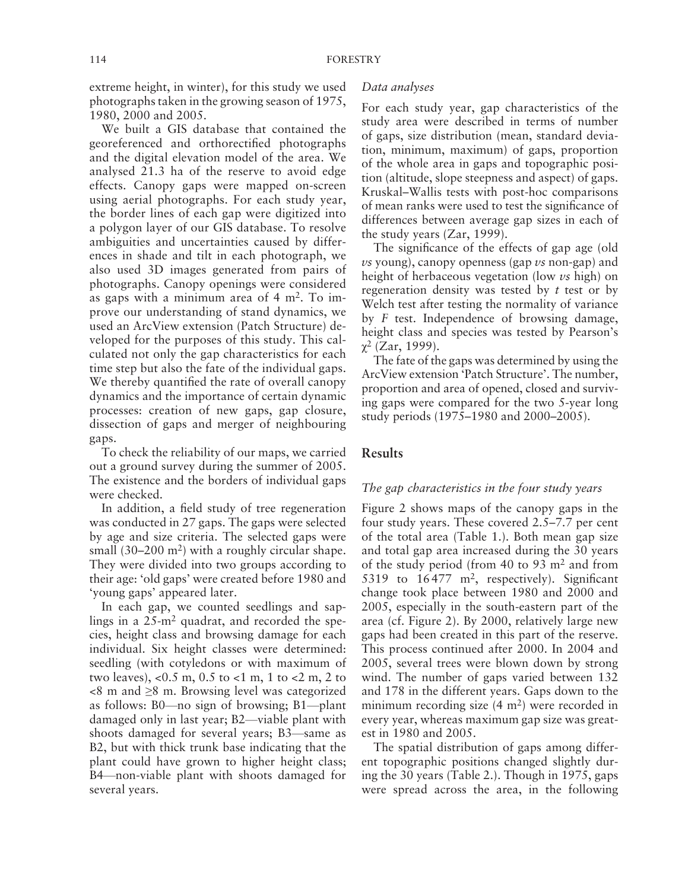extreme height, in winter), for this study we used photographs taken in the growing season of 1975, 1980, 2000 and 2005.

We built a GIS database that contained the georeferenced and orthorectified photographs and the digital elevation model of the area. We analysed 21.3 ha of the reserve to avoid edge effects. Canopy gaps were mapped on-screen using aerial photographs. For each study year, the border lines of each gap were digitized into a polygon layer of our GIS database. To resolve ambiguities and uncertainties caused by differences in shade and tilt in each photograph, we also used 3D images generated from pairs of photographs. Canopy openings were considered as gaps with a minimum area of  $4 \text{ m}^2$ . To improve our understanding of stand dynamics, we used an ArcView extension (Patch Structure) developed for the purposes of this study. This calculated not only the gap characteristics for each time step but also the fate of the individual gaps. We thereby quantified the rate of overall canopy dynamics and the importance of certain dynamic processes: creation of new gaps, gap closure, dissection of gaps and merger of neighbouring gaps.

To check the reliability of our maps, we carried out a ground survey during the summer of 2005. The existence and the borders of individual gaps were checked.

In addition, a field study of tree regeneration was conducted in 27 gaps. The gaps were selected by age and size criteria. The selected gaps were small  $(30-200 \text{ m}^2)$  with a roughly circular shape. They were divided into two groups according to their age: 'old gaps' were created before 1980 and ' young gaps' appeared later.

In each gap, we counted seedlings and saplings in a  $25 \text{--} m^2$  quadrat, and recorded the species, height class and browsing damage for each individual. Six height classes were determined: seedling (with cotyledons or with maximum of two leaves), <0.5 m, 0.5 to <1 m, 1 to <2 m, 2 to <8 m and ≥8 m. Browsing level was categorized as follows:  $B0$ —no sign of browsing;  $B1$ —plant damaged only in last year; B2—viable plant with shoots damaged for several years; B3—same as B2, but with thick trunk base indicating that the plant could have grown to higher height class; B4 —non-viable plant with shoots damaged for several years.

#### *Data analyses*

For each study year, gap characteristics of the study area were described in terms of number of gaps, size distribution (mean, standard deviation, minimum, maximum) of gaps, proportion of the whole area in gaps and topographic position (altitude, slope steepness and aspect) of gaps. Kruskal–Wallis tests with post-hoc comparisons of mean ranks were used to test the significance of differences between average gap sizes in each of the study years  $(Zar, 1999)$ .

The significance of the effects of gap age (old *vs* young), canopy openness (gap *vs* non-gap) and height of herbaceous vegetation (low *vs* high) on regeneration density was tested by *t* test or by Welch test after testing the normality of variance by *F* test. Independence of browsing damage, height class and species was tested by Pearson's  $χ²$  (Zar, 1999).

The fate of the gaps was determined by using the ArcView extension 'Patch Structure'. The number, proportion and area of opened, closed and surviving gaps were compared for the two 5-year long study periods (1975–1980 and 2000–2005).

# **Results**

#### *The gap characteristics in the four study years*

Figure 2 shows maps of the canopy gaps in the four study years. These covered 2.5–7.7 per cent of the total area (Table 1.). Both mean gap size and total gap area increased during the 30 years of the study period (from 40 to 93  $m<sup>2</sup>$  and from 5319 to  $16477$  m<sup>2</sup>, respectively). Significant change took place between 1980 and 2000 and 2005, especially in the south-eastern part of the area (cf. Figure 2). By 2000, relatively large new gaps had been created in this part of the reserve. This process continued after 2000. In 2004 and 2005, several trees were blown down by strong wind. The number of gaps varied between 132 and 178 in the different years. Gaps down to the minimum recording size  $(4 \text{ m}^2)$  were recorded in every year, whereas maximum gap size was greatest in 1980 and 2005.

The spatial distribution of gaps among different topographic positions changed slightly during the 30 years (Table 2.). Though in  $1975$ , gaps were spread across the area, in the following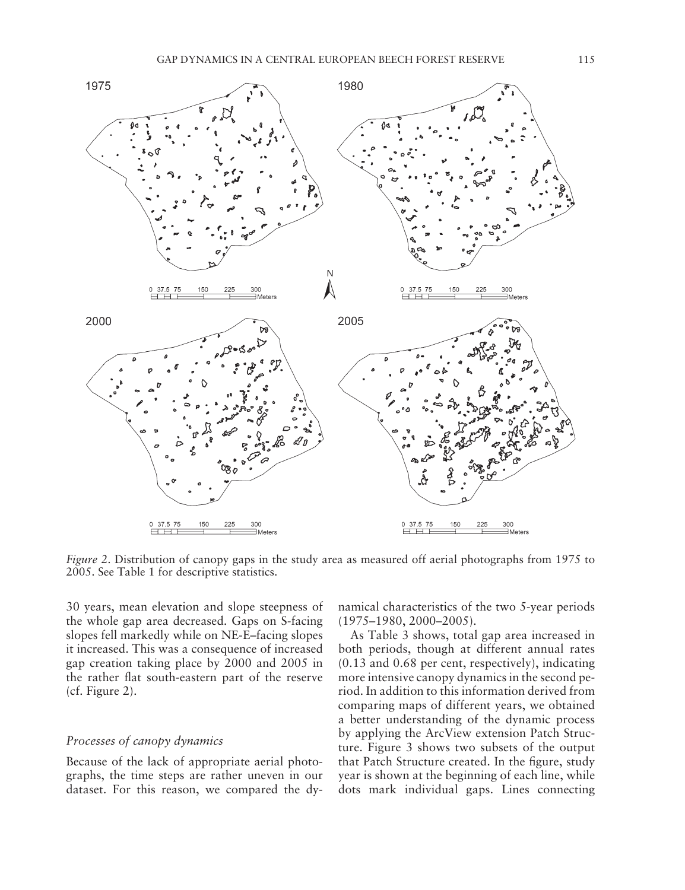

*Figure 2*. Distribution of canopy gaps in the study area as measured off aerial photographs from 1975 to 2005. See Table 1 for descriptive statistics.

30 years, mean elevation and slope steepness of the whole gap area decreased. Gaps on S-facing slopes fell markedly while on NE-E-facing slopes it increased. This was a consequence of increased gap creation taking place by 2000 and 2005 in the rather flat south-eastern part of the reserve  $(cf. Figure 2).$ 

# *Processes of canopy dynamics*

Because of the lack of appropriate aerial photographs, the time steps are rather uneven in our dataset. For this reason, we compared the dynamical characteristics of the two 5-year periods  $(1975 - 1980, 2000 - 2005)$ .

As Table 3 shows, total gap area increased in both periods, though at different annual rates (0.13 and 0.68 per cent, respectively), indicating more intensive canopy dynamics in the second period. In addition to this information derived from comparing maps of different years, we obtained a better understanding of the dynamic process by applying the ArcView extension Patch Structure. Figure 3 shows two subsets of the output that Patch Structure created. In the figure, study year is shown at the beginning of each line, while dots mark individual gaps. Lines connecting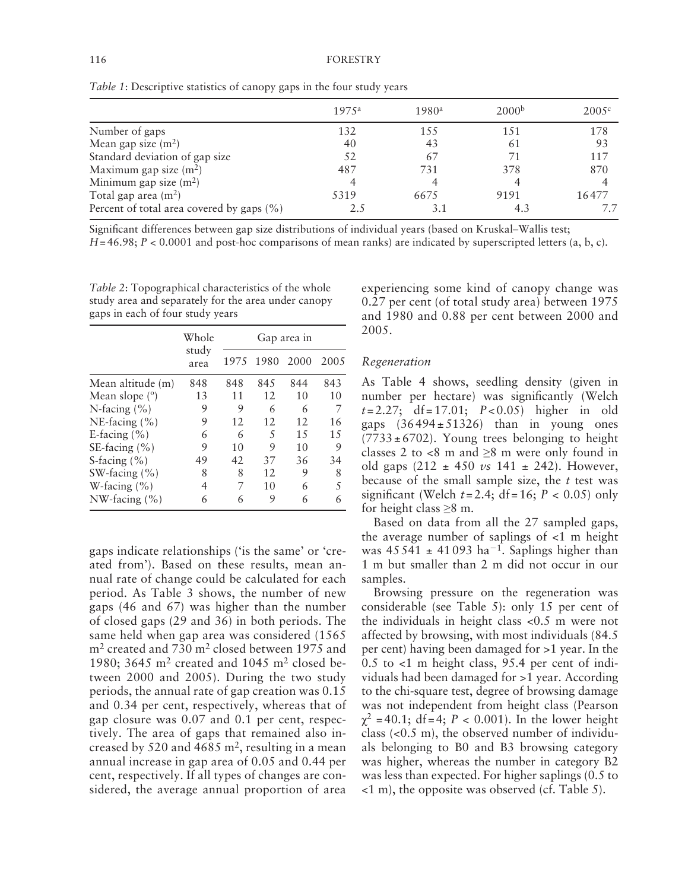|                                              | 1975a | 1980a | 2000 <sup>b</sup> | 2005c |
|----------------------------------------------|-------|-------|-------------------|-------|
| Number of gaps                               | 132   | 155   | 1.51              | 178   |
| Mean gap size $(m^2)$                        | 40    | 43    | 61                | 93    |
| Standard deviation of gap size               | .52   | 67    | 71                | 117   |
| Maximum gap size $(m^2)$                     | 487   | 731   | 378               | 870   |
| Minimum gap size $(m^2)$                     | 4     | 4     | 4                 |       |
| Total gap area $(m2)$                        | 5319  | 6675  | 9191              | 16477 |
| Percent of total area covered by gaps $(\%)$ | 2.5   | 3.1   | 4.3               |       |

*Table 1*: Descriptive statistics of canopy gaps in the four study years

Significant differences between gap size distributions of individual years (based on Kruskal–Wallis test;

 $H = 46.98$ ;  $P < 0.0001$  and post-hoc comparisons of mean ranks) are indicated by superscripted letters (a, b, c).

*Table 2*: Topographical characteristics of the whole study area and separately for the area under canopy gaps in each of four study years

|                           | Whole         | Gap area in |      |      |       |  |
|---------------------------|---------------|-------------|------|------|-------|--|
|                           | study<br>area | 1975        | 1980 | 2000 | 200.5 |  |
| Mean altitude (m)         | 848           | 848         | 845  | 844  | 843   |  |
| Mean slope $(°)$          | 13            | 11          | 12   | 10   | 10    |  |
| N-facing $(\% )$          | 9             | 9           | 6    | 6    | 7     |  |
| NE-facing (%)             | 9             | 12          | 12   | 12   | 16    |  |
| E-facing $(\% )$          | 6             | 6           | 5    | 1.5  | 1.5   |  |
| SE-facing (%)             | 9             | 10          | 9    | 10   | 9     |  |
| S-facing $(\% )$          | 49            | 42          | 37   | 36   | 34    |  |
| SW-facing $(\% )$         | 8             | 8           | 12   | 9    | 8     |  |
| W-facing $(\% )$          | 4             | 7           | 10   | 6    | 5     |  |
| $NW\text{-facing } (\% )$ | 6             | 6           | 9    | 6    |       |  |

gaps indicate relationships ('is the same' or 'created from'). Based on these results, mean annual rate of change could be calculated for each period. As Table 3 shows, the number of new gaps (46 and 67) was higher than the number of closed gaps (29 and 36) in both periods. The same held when gap area was considered (1565  $m<sup>2</sup>$  created and 730 m<sup>2</sup> closed between 1975 and 1980; 3645  $m<sup>2</sup>$  created and 1045  $m<sup>2</sup>$  closed between 2000 and 2005). During the two study periods, the annual rate of gap creation was 0.15 and 0.34 per cent, respectively, whereas that of gap closure was 0.07 and 0.1 per cent, respectively. The area of gaps that remained also increased by 520 and 4685  $m^2$ , resulting in a mean annual increase in gap area of 0.05 and 0.44 per cent, respectively. If all types of changes are considered, the average annual proportion of area experiencing some kind of canopy change was 0.27 per cent (of total study area) between 1975 and 1980 and 0.88 per cent between 2000 and 2005.

#### *Regeneration*

As Table 4 shows, seedling density (given in number per hectare) was significantly (Welch  $t = 2.27$ ; df = 17.01;  $P < 0.05$ ) higher in old gaps  $(36494 \pm 51326)$  than in young ones  $(7733 \pm 6702)$ . Young trees belonging to height classes 2 to  $\lt 8$  m and  $\geq 8$  m were only found in old gaps (212 ± 450 *vs* 141 ± 242). However, because of the small sample size, the *t* test was significant (Welch  $t = 2.4$ ; df = 16;  $P < 0.05$ ) only for height class  $\geq 8$  m.

Based on data from all the 27 sampled gaps, the average number of saplings of <1 m height was  $45\,541 \pm 41\,093$  ha<sup>-1</sup>. Saplings higher than 1 m but smaller than 2 m did not occur in our samples.

Browsing pressure on the regeneration was considerable (see Table 5): only 15 per cent of the individuals in height class <0.5 m were not affected by browsing, with most individuals (84.5 per cent) having been damaged for >1 year. In the 0.5 to <1 m height class, 95.4 per cent of individuals had been damaged for >1 year. According to the chi-square test, degree of browsing damage was not independent from height class (Pearson  $\gamma^2$  = 40.1; df = 4; *P* < 0.001). In the lower height class  $( $0.5 \, \text{m}$ ), the observed number of individual$ als belonging to B0 and B3 browsing category was higher, whereas the number in category B2 was less than expected. For higher saplings (0.5 to  $(1 \text{ m})$ , the opposite was observed (cf. Table 5).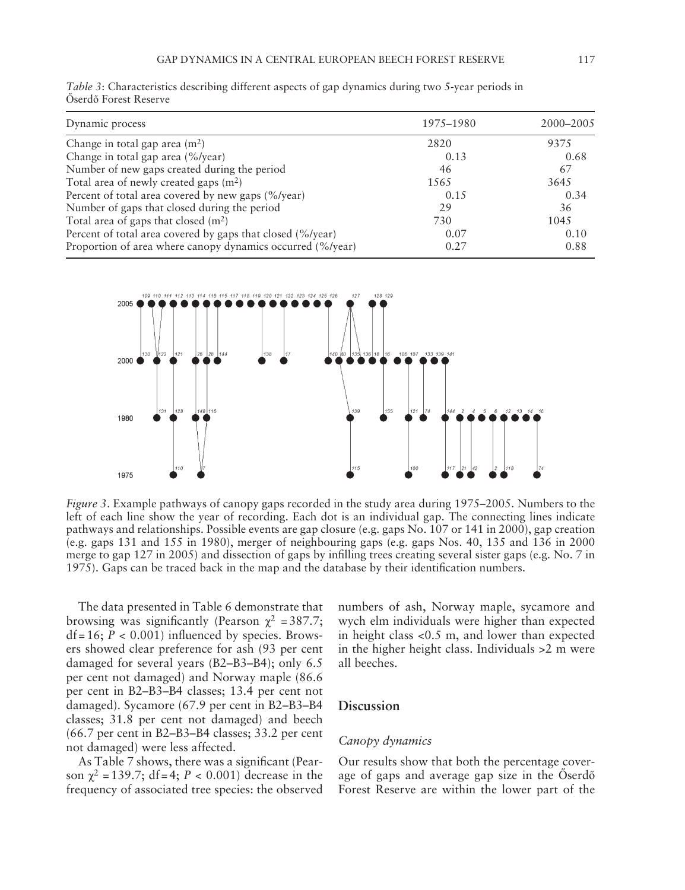| Dynamic process                                            | 1975–1980 | 2000–2005 |
|------------------------------------------------------------|-----------|-----------|
| Change in total gap area $(m2)$                            | 2820      | 9375      |
| Change in total gap area (%/year)                          | 0.13      | 0.68      |
| Number of new gaps created during the period               | 46        | 67        |
| Total area of newly created gaps $(m2)$                    | 1565      | 3645      |
| Percent of total area covered by new gaps (%/year)         | 0.15      | 0.34      |
| Number of gaps that closed during the period               | 29        | 36        |
| Total area of gaps that closed $(m2)$                      | 730       | 1045      |
| Percent of total area covered by gaps that closed (%/year) | 0.07      | 0.10      |
| Proportion of area where canopy dynamics occurred (%/year) | 0.27      | 0.88      |

*Table 3*: Characteristics describing different aspects of gap dynamics during two 5-year periods in Őserdő Forest Reserve



*Figure 3*. Example pathways of canopy gaps recorded in the study area during 1975–2005. Numbers to the left of each line show the year of recording. Each dot is an individual gap. The connecting lines indicate pathways and relationships. Possible events are gap closure (e.g. gaps No. 107 or 141 in 2000), gap creation (e.g. gaps 131 and 155 in 1980), merger of neighbouring gaps (e.g. gaps Nos. 40, 135 and 136 in 2000 merge to gap 127 in 2005) and dissection of gaps by infilling trees creating several sister gaps (e.g. No. 7 in 1975). Gaps can be traced back in the map and the database by their identification numbers.

The data presented in Table 6 demonstrate that browsing was significantly (Pearson  $\chi^2$  = 387.7;  $df = 16$ ;  $P < 0.001$ ) influenced by species. Browsers showed clear preference for ash (93 per cent damaged for several years  $(B2 - B3 - B4)$ ; only 6.5 per cent not damaged) and Norway maple (86.6 per cent in B2-B3-B4 classes; 13.4 per cent not damaged). Sycamore (67.9 per cent in B2-B3-B4 classes; 31.8 per cent not damaged) and beech  $(66.7 \text{ per cent in B2-B3-B4 classes}; 33.2 \text{ per cent})$ not damaged) were less affected.

As Table 7 shows, there was a significant (Pearson  $χ^2 = 139.7$ ; df = 4;  $P < 0.001$ ) decrease in the frequency of associated tree species: the observed

numbers of ash, Norway maple, sycamore and wych elm individuals were higher than expected in height class <0.5 m, and lower than expected in the higher height class. Individuals >2 m were all beeches.

# **Discussion**

#### *Canopy dynamics*

Our results show that both the percentage coverage of gaps and average gap size in the Öserdő Forest Reserve are within the lower part of the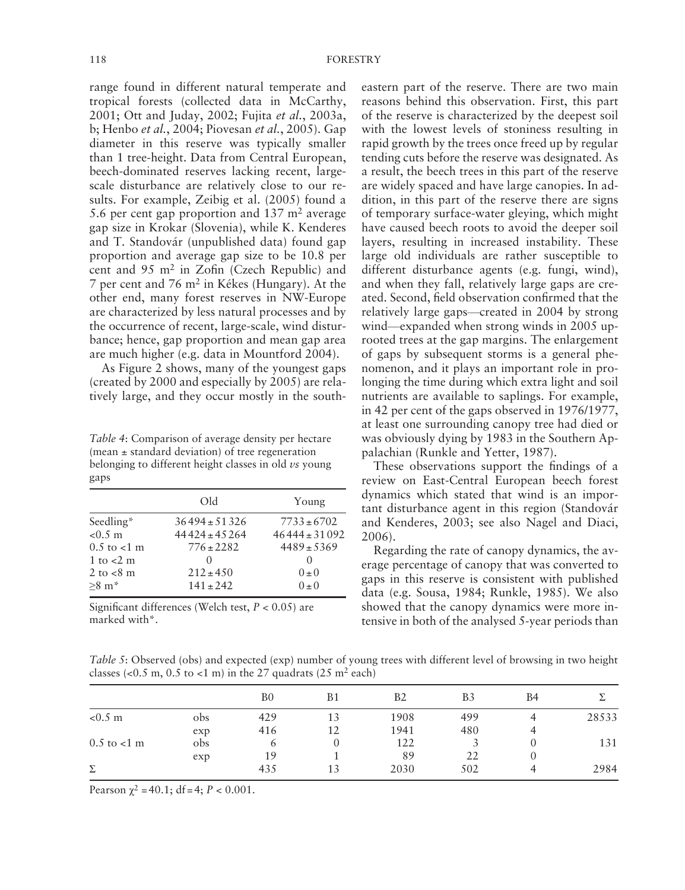range found in different natural temperate and tropical forests (collected data in McCarthy, 2001; Ott and Juday, 2002; Fujita et al., 2003a, b; Henbo *et al.*, 2004; Piovesan *et al.*, 2005). Gap diameter in this reserve was typically smaller than 1 tree-height. Data from Central European, beech-dominated reserves lacking recent, largescale disturbance are relatively close to our results. For example, Zeibig et al. (2005) found a 5.6 per cent gap proportion and  $137 \text{ m}^2$  average gap size in Krokar (Slovenia), while K. Kenderes and T. Standovár (unpublished data) found gap proportion and average gap size to be 10.8 per cent and  $95 \text{ m}^2$  in Zofin (Czech Republic) and 7 per cent and 76 m<sup>2</sup> in Kékes (Hungary). At the other end, many forest reserves in NW-Europe are characterized by less natural processes and by the occurrence of recent, large-scale, wind disturbance; hence, gap proportion and mean gap area are much higher (e.g. data in Mountford 2004 ).

As Figure 2 shows, many of the youngest gaps (created by 2000 and especially by 2005) are relatively large, and they occur mostly in the south-

Table 4: Comparison of average density per hectare (mean  $\pm$  standard deviation) of tree regeneration belonging to different height classes in old *vs* young gaps

|                     | Old               | Young             |
|---------------------|-------------------|-------------------|
| Seedling*           | $36494 \pm 51326$ | $7733 \pm 6702$   |
| $< 0.5 \; \text{m}$ | $44424 \pm 45264$ | $46444 \pm 31092$ |
| $0.5$ to $< 1$ m    | $776 \pm 2282$    | $4489 \pm 5369$   |
| 1 to $<$ 2 m        | $\left( \right)$  | $\left( \right)$  |
| 2 to $< 8$ m        | $212 \pm 450$     | $0 \pm 0$         |
| $>8 \text{ m}^*$    | $141 + 242$       | $(1 + 0)$         |

Significant differences (Welch test,  $P < 0.05$ ) are marked with\*.

eastern part of the reserve. There are two main reasons behind this observation. First, this part of the reserve is characterized by the deepest soil with the lowest levels of stoniness resulting in rapid growth by the trees once freed up by regular tending cuts before the reserve was designated. As a result, the beech trees in this part of the reserve are widely spaced and have large canopies. In addition, in this part of the reserve there are signs of temporary surface-water gleying, which might have caused beech roots to avoid the deeper soil layers, resulting in increased instability. These large old individuals are rather susceptible to different disturbance agents (e.g. fungi, wind), and when they fall, relatively large gaps are created. Second, field observation confirmed that the relatively large gaps—created in 2004 by strong wind—expanded when strong winds in 2005 uprooted trees at the gap margins. The enlargement of gaps by subsequent storms is a general phenomenon, and it plays an important role in prolonging the time during which extra light and soil nutrients are available to saplings. For example, in 42 per cent of the gaps observed in 1976/1977, at least one surrounding canopy tree had died or was obviously dying by 1983 in the Southern Appalachian (Runkle and Yetter, 1987).

These observations support the findings of a review on East-Central European beech forest dynamics which stated that wind is an important disturbance agent in this region (Standovár and Kenderes, 2003; see also Nagel and Diaci, 2006).

Regarding the rate of canopy dynamics, the average percentage of canopy that was converted to gaps in this reserve is consistent with published data (e.g. Sousa, 1984; Runkle, 1985). We also showed that the canopy dynamics were more intensive in both of the analysed 5-year periods than

*Table 5*: Observed (obs) and expected (exp) number of young trees with different level of browsing in two height classes (<0.5 m, 0.5 to <1 m) in the 27 quadrats (25 m<sup>2</sup> each)

|                     |     | B <sub>0</sub> | Β1 | B2   | B3  | B4 |       |
|---------------------|-----|----------------|----|------|-----|----|-------|
| $< 0.5 \; \text{m}$ | obs | 429            | 13 | 1908 | 499 |    | 28533 |
|                     | exp | 416            | 12 | 1941 | 480 | 4  |       |
| $0.5$ to $< 1$ m    | obs | 6              |    | 122  |     |    | 131   |
|                     | exp | 19             |    | 89   | 22  | O  |       |
| Σ                   |     | 435            | 13 | 2030 | 502 |    | 2984  |

Pearson  $\chi^2$  = 40.1; df = 4; P < 0.001.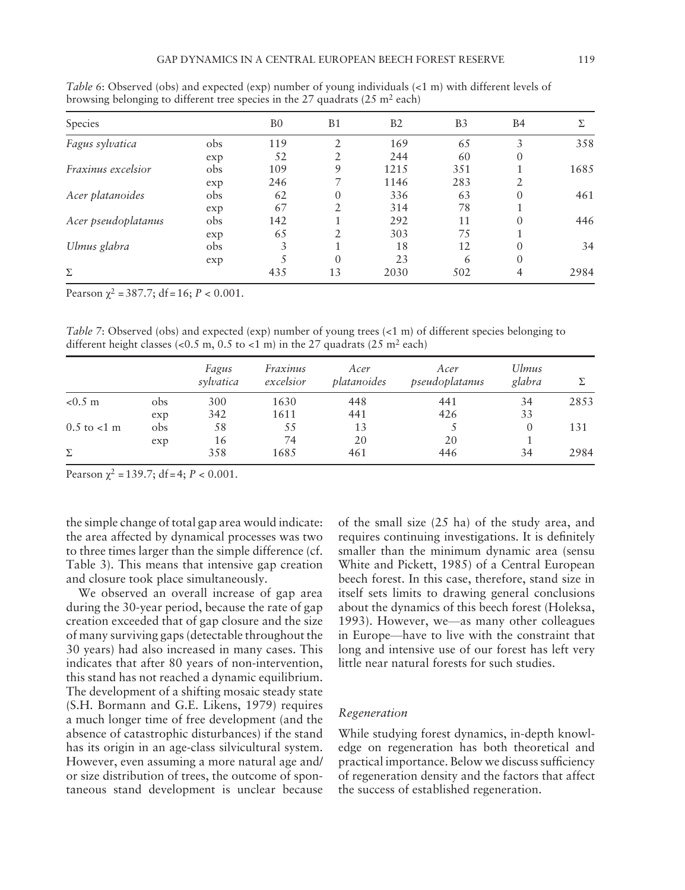| Species             |     | B <sub>0</sub> | <b>B1</b>      | B <sub>2</sub> | B <sub>3</sub> | <b>B4</b>        | Σ.   |
|---------------------|-----|----------------|----------------|----------------|----------------|------------------|------|
| Fagus sylvatica     | obs | 119            | $\mathfrak{D}$ | 169            | 65             | 3                | 358  |
|                     | exp | 52             |                | 244            | 60             | 0                |      |
| Fraxinus excelsior  | obs | 109            | 9              | 1215           | 351            |                  | 1685 |
|                     | exp | 246            |                | 1146           | 283            |                  |      |
| Acer platanoides    | obs | 62             | $\theta$       | 336            | 63             | $\left( \right)$ | 461  |
|                     | exp | 67             | C.             | 314            | 78             |                  |      |
| Acer pseudoplatanus | obs | 142            |                | 292            | 11             | 0                | 446  |
|                     | exp | 65             |                | 303            | 75             |                  |      |
| Ulmus glabra        | obs | 3              |                | 18             | 12             | 0                | 34   |
|                     | exp |                | $\theta$       | 23             | 6              | 0                |      |
| Σ                   |     | 435            | 13             | 2030           | 502            | 4                | 2984 |

*Table 6*: Observed (obs) and expected (exp) number of young individuals (<1 m) with different levels of browsing belonging to different tree species in the 27 quadrats  $(25 \text{ m}^2 \text{ each})$ 

Pearson  $\chi^2$  = 387.7; df = 16;  $P < 0.001$ .

*Table 7*: Observed (obs) and expected (exp) number of young trees (<1 m) of different species belonging to different height classes (<0.5 m, 0.5 to <1 m) in the 27 quadrats (25 m<sup>2</sup> each)

|                     |     | Fagus<br>sylvatica | Fraxinus<br>excelsior | Acer<br>platanoides | Acer<br>pseudoplatanus | <b>Ulmus</b><br>glabra |      |
|---------------------|-----|--------------------|-----------------------|---------------------|------------------------|------------------------|------|
| $< 0.5 \; \text{m}$ | obs | 300                | 1630                  | 448                 | 441                    | 34                     | 2853 |
|                     | exp | 342                | 1611                  | 441                 | 426                    | 33                     |      |
| $0.5$ to $< 1$ m    | obs | 58                 | 55                    | 13                  |                        | $\theta$               | 131  |
|                     | exp | 16                 | 74                    | 20                  | 20                     |                        |      |
| Σ                   |     | 358                | 1685                  | 461                 | 446                    | 34                     | 2984 |

Pearson  $\gamma^2 = 139.7$ ; df = 4;  $P < 0.001$ .

the simple change of total gap area would indicate: the area affected by dynamical processes was two to three times larger than the simple difference (cf. Table 3). This means that intensive gap creation and closure took place simultaneously.

We observed an overall increase of gap area during the 30-year period, because the rate of gap creation exceeded that of gap closure and the size of many surviving gaps (detectable throughout the 30 years) had also increased in many cases. This indicates that after 80 years of non-intervention, this stand has not reached a dynamic equilibrium. The development of a shifting mosaic steady state ( S.H. Bormann and G.E. Likens, 1979 ) requires a much longer time of free development (and the absence of catastrophic disturbances) if the stand has its origin in an age-class silvicultural system. However, even assuming a more natural age and/ or size distribution of trees, the outcome of spontaneous stand development is unclear because of the small size (25 ha) of the study area, and requires continuing investigations. It is definitely smaller than the minimum dynamic area (sensu White and Pickett, 1985) of a Central European beech forest. In this case, therefore, stand size in itself sets limits to drawing general conclusions about the dynamics of this beech forest (Holeksa, 1993). However, we-as many other colleagues in Europe—have to live with the constraint that long and intensive use of our forest has left very little near natural forests for such studies.

#### *Regeneration*

While studying forest dynamics, in-depth knowledge on regeneration has both theoretical and practical importance. Below we discuss sufficiency of regeneration density and the factors that affect the success of established regeneration.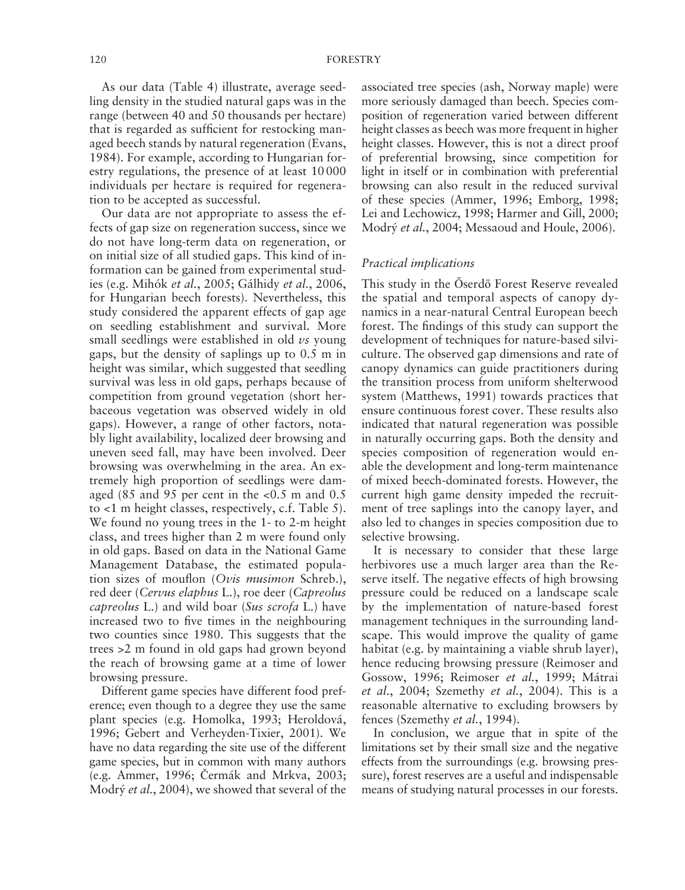As our data (Table 4) illustrate, average seedling density in the studied natural gaps was in the range (between 40 and 50 thousands per hectare) that is regarded as sufficient for restocking managed beech stands by natural regeneration (Evans, 1984). For example, according to Hungarian forestry regulations, the presence of at least 10 000 individuals per hectare is required for regeneration to be accepted as successful.

Our data are not appropriate to assess the effects of gap size on regeneration success, since we do not have long-term data on regeneration, or on initial size of all studied gaps. This kind of information can be gained from experimental studies (e.g. Mihók et al., 2005; Gálhidy et al., 2006, for Hungarian beech forests). Nevertheless, this study considered the apparent effects of gap age on seedling establishment and survival. More small seedlings were established in old *vs* young gaps, but the density of saplings up to 0.5 m in height was similar, which suggested that seedling survival was less in old gaps, perhaps because of competition from ground vegetation (short herbaceous vegetation was observed widely in old gaps). However, a range of other factors, notably light availability, localized deer browsing and uneven seed fall, may have been involved. Deer browsing was overwhelming in the area. An extremely high proportion of seedlings were damaged (85 and 95 per cent in the  $< 0.5$  m and 0.5 to  $<1$  m height classes, respectively, c.f. Table 5). We found no young trees in the 1- to 2-m height class, and trees higher than 2 m were found only in old gaps. Based on data in the National Game Management Database, the estimated population sizes of mouflon (Ovis musimon Schreb.), red deer ( *Cervus elaphus* L.), roe deer ( *Capreolus capreolus* L.) and wild boar ( *Sus scrofa* L.) have increased two to five times in the neighbouring two counties since 1980. This suggests that the trees >2 m found in old gaps had grown beyond the reach of browsing game at a time of lower browsing pressure.

Different game species have different food preference; even though to a degree they use the same plant species (e.g. Homolka, 1993; Heroldová, 1996; Gebert and Verheyden-Tixier, 2001). We have no data regarding the site use of the different game species, but in common with many authors (e.g. Ammer, 1996; Čermák and Mrkva, 2003; Modrý *et al.*, 2004), we showed that several of the associated tree species (ash, Norway maple) were more seriously damaged than beech. Species composition of regeneration varied between different height classes as beech was more frequent in higher height classes. However, this is not a direct proof of preferential browsing, since competition for light in itself or in combination with preferential browsing can also result in the reduced survival of these species (Ammer, 1996; Emborg, 1998; Lei and Lechowicz, 1998; Harmer and Gill, 2000; Modrý et al., 2004; Messaoud and Houle, 2006).

# *Practical implications*

This study in the Öserdő Forest Reserve revealed the spatial and temporal aspects of canopy dynamics in a near-natural Central European beech forest. The findings of this study can support the development of techniques for nature-based silviculture. The observed gap dimensions and rate of canopy dynamics can guide practitioners during the transition process from uniform shelterwood system (Matthews, 1991) towards practices that ensure continuous forest cover. These results also indicated that natural regeneration was possible in naturally occurring gaps. Both the density and species composition of regeneration would enable the development and long-term maintenance of mixed beech-dominated forests. However, the current high game density impeded the recruitment of tree saplings into the canopy layer, and also led to changes in species composition due to selective browsing.

It is necessary to consider that these large herbivores use a much larger area than the Reserve itself. The negative effects of high browsing pressure could be reduced on a landscape scale by the implementation of nature-based forest management techniques in the surrounding landscape. This would improve the quality of game habitat (e.g. by maintaining a viable shrub layer), hence reducing browsing pressure (Reimoser and Gossow, 1996; Reimoser et al., 1999; Mátrai *et al.*, 2004; Szemethy *et al.*, 2004). This is a reasonable alternative to excluding browsers by fences (Szemethy *et al.*, 1994).

In conclusion, we argue that in spite of the limitations set by their small size and the negative effects from the surroundings (e.g. browsing pressure), forest reserves are a useful and indispensable means of studying natural processes in our forests.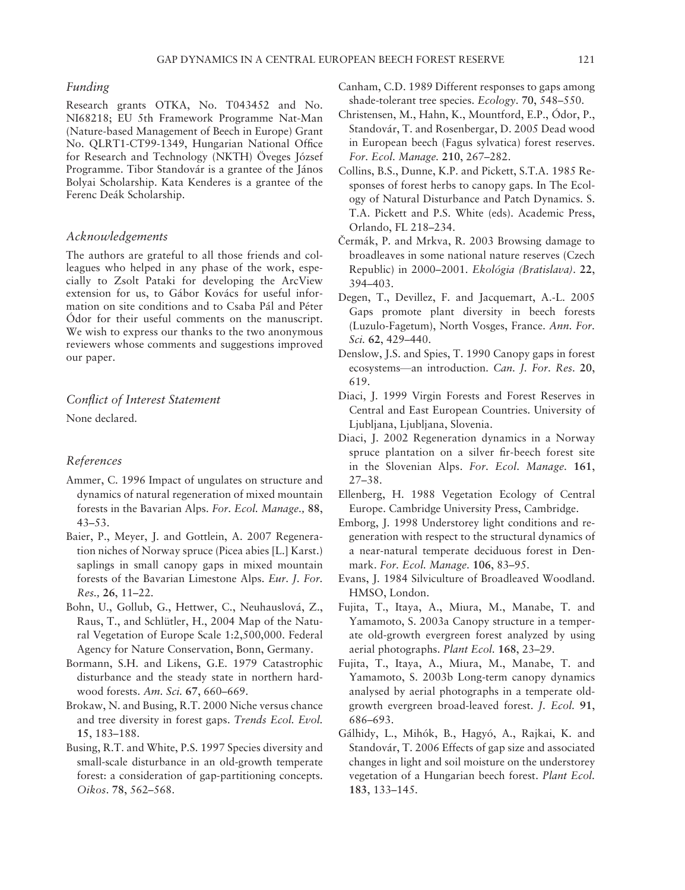#### *Funding*

Research grants OTKA, No. T043452 and No. NI68218; EU 5th Framework Programme Nat-Man (Nature-based Management of Beech in Europe) Grant No. QLRT1-CT99-1349, Hungarian National Office for Research and Technology (NKTH) Öveges József Programme. Tibor Standovár is a grantee of the János Bolyai Scholarship. Kata Kenderes is a grantee of the Ferenc Deák Scholarship.

#### *Acknowledgements*

The authors are grateful to all those friends and colleagues who helped in any phase of the work, especially to Zsolt Pataki for developing the ArcView extension for us, to Gábor Kovács for useful information on site conditions and to Csaba Pál and Péter Ódor for their useful comments on the manuscript. We wish to express our thanks to the two anonymous reviewers whose comments and suggestions improved our paper.

#### *Confl ict of Interest Statement*

None declared.

# *References*

- Ammer, C. 1996 Impact of ungulates on structure and dynamics of natural regeneration of mixed mountain forests in the Bavarian Alps . *For. Ecol. Manage.,* **88**,  $43 - 53.$
- Baier, P., Meyer, J. and Gottlein, A. 2007 Regeneration niches of Norway spruce (Picea abies [L.] Karst.) saplings in small canopy gaps in mixed mountain forests of the Bavarian Limestone Alps. *Eur. J. For. Res.*, 26, 11-22.
- Bohn, U., Gollub, G., Hettwer, C., Neuhauslová, Z., Raus, T., and Schlütler, H., 2004 Map of the Natural Vegetation of Europe Scale 1:2,500,000 . Federal Agency for Nature Conservation, Bonn, Germany.
- Bormann, S.H. and Likens, G.E. 1979 Catastrophic disturbance and the steady state in northern hardwood forests. Am. Sci. 67, 660-669.
- Brokaw, N. and Busing, R.T. 2000 Niche versus chance and tree diversity in forest gaps. *Trends Ecol. Evol.* 15, 183-188.
- Busing, R.T. and White, P.S. 1997 Species diversity and small-scale disturbance in an old-growth temperate forest: a consideration of gap-partitioning concepts . Oikos. 78, 562-568.
- Canham, C.D. 1989 Different responses to gaps among shade-tolerant tree species. *Ecology*. 70, 548-550.
- Christensen, M., Hahn, K., Mountford, E.P., Ódor, P., Standovár, T. and Rosenbergar, D. 2005 Dead wood in European beech (Fagus sylvatica) forest reserves . *For. Ecol. Manage.* **210**, 267 – 282 .
- Collins, B.S., Dunne, K.P. and Pickett, S.T.A. 1985 Responses of forest herbs to canopy gaps. In The Ecology of Natural Disturbance and Patch Dynamics . S. T.A. Pickett and P.S. White (eds). Academic Press, Orlando, FL 218-234.
- Čermák, P. and Mrkva, R. 2003 Browsing damage to broadleaves in some national nature reserves (Czech Republic) in 2000 – 2001 . *Ekológia (Bratislava)*. **22**,  $394 - 403$ .
- Degen, T., Devillez, F. and Jacquemart, A.-L. 2005 Gaps promote plant diversity in beech forests (Luzulo-Fagetum), North Vosges, France . *Ann. For. Sci.* **62**, 429 – 440 .
- Denslow, J.S. and Spies, T. 1990 Canopy gaps in forest ecosystems —an introduction . *Can. J. For. Res.* **20**, 619.
- Diaci, J. 1999 Virgin Forests and Forest Reserves in Central and East European Countries. University of Ljubljana, Ljubljana, Slovenia.
- Diaci, J. 2002 Regeneration dynamics in a Norway spruce plantation on a silver fir-beech forest site in the Slovenian Alps. For. Ecol. Manage. 161,  $27 - 38$ .
- Ellenberg, H. 1988 Vegetation Ecology of Central Europe. Cambridge University Press, Cambridge.
- Emborg, J. 1998 Understorey light conditions and regeneration with respect to the structural dynamics of a near-natural temperate deciduous forest in Denmark. For. Ecol. Manage. 106, 83-95.
- Evans, J. 1984 Silviculture of Broadleaved Woodland. HMSO, London.
- Fujita, T., Itaya, A., Miura, M., Manabe, T. and Yamamoto, S. 2003a Canopy structure in a temperate old-growth evergreen forest analyzed by using aerial photographs. *Plant Ecol*. 168, 23-29.
- Fujita, T., Itaya, A., Miura, M., Manabe, T. and Yamamoto, S. 2003b Long-term canopy dynamics analysed by aerial photographs in a temperate oldgrowth evergreen broad-leaved forest . *J. Ecol.* **91**, 686-693.
- Gálhidy, L., Mihók, B., Hagyó, A., Rajkai, K. and Standovár, T. 2006 Effects of gap size and associated changes in light and soil moisture on the understorey vegetation of a Hungarian beech forest. *Plant Ecol*. 183, 133-145.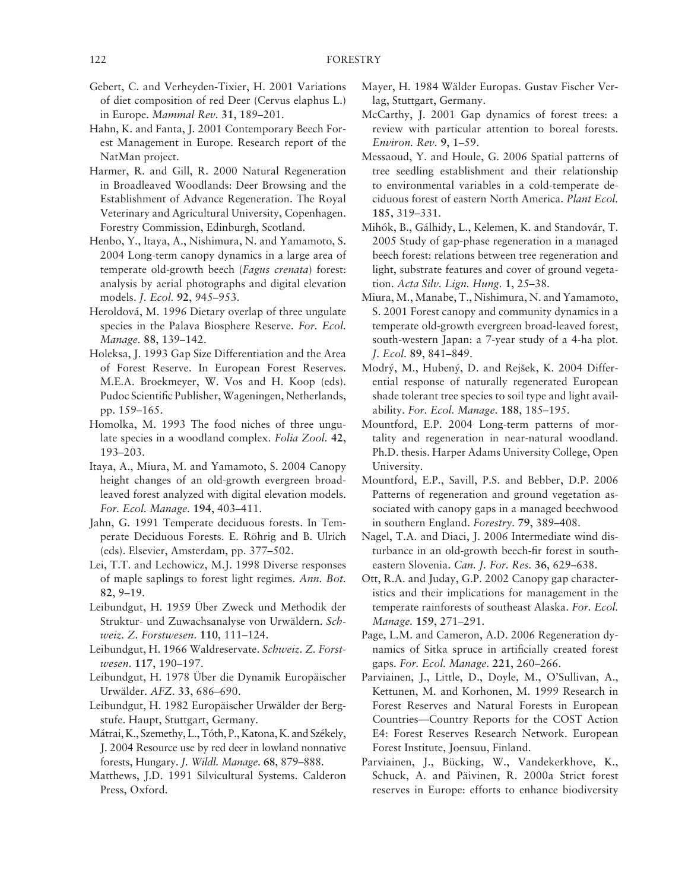- Gebert, C. and Verheyden-Tixier, H. 2001 Variations of diet composition of red Deer (Cervus elaphus L.) in Europe. *Mammal Rev.* 31, 189-201.
- Hahn, K. and Fanta, J. 2001 Contemporary Beech Forest Management in Europe. Research report of the NatMan project.
- Harmer, R. and Gill, R. 2000 Natural Regeneration in Broadleaved Woodlands: Deer Browsing and the Establishment of Advance Regeneration. The Royal Veterinary and Agricultural University, Copenhagen. Forestry Commission, Edinburgh, Scotland.
- Henbo, Y., Itaya, A., Nishimura, N. and Yamamoto, S. 2004 Long-term canopy dynamics in a large area of temperate old-growth beech ( *Fagus crenata*) forest: analysis by aerial photographs and digital elevation models . *J. Ecol.* **92**, 945 – 953 .
- Heroldová , M. 1996 Dietary overlap of three ungulate species in the Palava Biosphere Reserve. For. Ecol. *Manage.* 88, 139-142.
- Holeksa, J. 1993 Gap Size Differentiation and the Area of Forest Reserve. In European Forest Reserves. M.E.A. Broekmeyer, W. Vos and H. Koop (eds). Pudoc Scientific Publisher, Wageningen, Netherlands, pp. 159-165.
- Homolka, M. 1993 The food niches of three ungulate species in a woodland complex. *Folia Zool.* **42**, 193-203.
- Itaya, A., Miura, M. and Yamamoto, S. 2004 Canopy height changes of an old-growth evergreen broadleaved forest analyzed with digital elevation models. *For. Ecol. Manage.* **194**, 403 – 411 .
- Jahn, G. 1991 Temperate deciduous forests. In Temperate Deciduous Forests. E. Röhrig and B. Ulrich (eds). Elsevier, Amsterdam, pp. 377-502.
- Lei, T.T. and Lechowicz, M.J. 1998 Diverse responses of maple saplings to forest light regimes . *Ann. Bot.* **82**, 9 – 19 .
- Leibundgut, H. 1959 Über Zweck und Methodik der Struktur- und Zuwachsanalyse von Urwäldern. Sch*weiz. Z. Forstwesen*. **110**, 111 – 124 .
- Leibundgut, H. 1966 Waldreservate. *Schweiz*. Z. Forst*wesen.* 117, 190-197.
- Leibundgut, H. 1978 Über die Dynamik Europäischer Urwälder. AFZ. 33, 686-690.
- Leibundgut, H. 1982 Europäischer Urwälder der Bergstufe. Haupt, Stuttgart, Germany.
- Mátrai, K., Szemethy, L., Tóth, P., Katona, K. and Székely, J. 2004 Resource use by red deer in lowland nonnative forests, Hungary . *J. Wildl. Manage.* **68**, 879 – 888 .
- Matthews, J.D. 1991 Silvicultural Systems. Calderon Press, Oxford.
- Mayer, H. 1984 Wälder Europas. Gustav Fischer Verlag, Stuttgart, Germany.
- McCarthy, J. 2001 Gap dynamics of forest trees: a review with particular attention to boreal forests . *Environ. Rev.* 9, 1–59.
- Messaoud, Y. and Houle, G. 2006 Spatial patterns of tree seedling establishment and their relationship to environmental variables in a cold-temperate deciduous forest of eastern North America . *Plant Ecol.* **185,** 319 – 331 .
- Mihók, B., Gálhidy, L., Kelemen, K. and Standovár, T. 2005 Study of gap-phase regeneration in a managed beech forest: relations between tree regeneration and light, substrate features and cover of ground vegetation. *Acta Silv. Lign. Hung.* 1, 25-38.
- Miura, M., Manabe, T., Nishimura, N. and Yamamoto, S. 2001 Forest canopy and community dynamics in a temperate old-growth evergreen broad-leaved forest, south-western Japan: a 7-year study of a 4-ha plot. *J. Ecol.* **89**, 841 – 849 .
- Modrý, M., Hubený, D. and Rejšek, K. 2004 Differential response of naturally regenerated European shade tolerant tree species to soil type and light availability . *For. Ecol. Manage.* **188**, 185 – 195 .
- Mountford, E.P. 2004 Long-term patterns of mortality and regeneration in near-natural woodland. Ph.D. thesis. Harper Adams University College, Open University.
- Mountford, E.P., Savill, P.S. and Bebber, D.P. 2006 Patterns of regeneration and ground vegetation associated with canopy gaps in a managed beechwood in southern England. *Forestry*. 79, 389-408.
- Nagel, T.A. and Diaci, J. 2006 Intermediate wind disturbance in an old-growth beech-fir forest in southeastern Slovenia. *Can. J. For. Res.* 36, 629-638.
- Ott, R.A. and Juday, G.P. 2002 Canopy gap characteristics and their implications for management in the temperate rainforests of southeast Alaska. For. Ecol. *Manage.* 159, 271-291.
- Page, L.M. and Cameron, A.D. 2006 Regeneration dynamics of Sitka spruce in artificially created forest gaps. For. Ecol. Manage. 221, 260-266.
- Parviainen, J., Little, D., Doyle, M., O'Sullivan, A., Kettunen, M. and Korhonen, M. 1999 Research in Forest Reserves and Natural Forests in European Countries — Country Reports for the COST Action E4: Forest Reserves Research Network. European Forest Institute, Joensuu, Finland.
- Parviainen, J., Bücking, W., Vandekerkhove, K., Schuck, A. and Päivinen, R. 2000a Strict forest reserves in Europe: efforts to enhance biodiversity